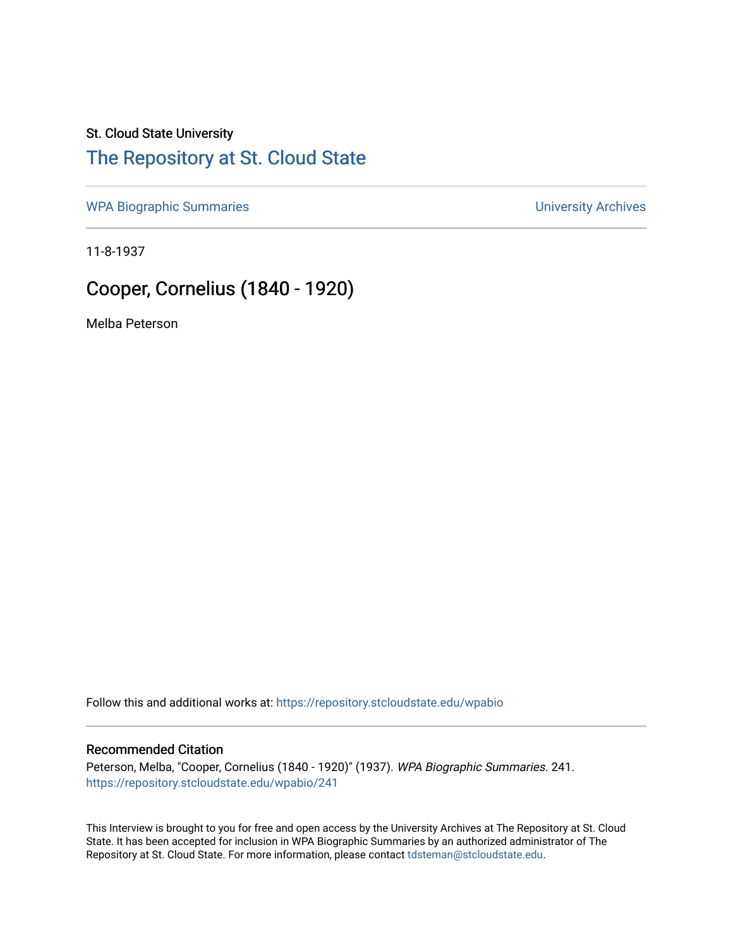#### St. Cloud State University

## [The Repository at St. Cloud State](https://repository.stcloudstate.edu/)

[WPA Biographic Summaries](https://repository.stcloudstate.edu/wpabio) **WPA Biographic Summaries University Archives** 

11-8-1937

# Cooper, Cornelius (1840 - 1920)

Melba Peterson

Follow this and additional works at: [https://repository.stcloudstate.edu/wpabio](https://repository.stcloudstate.edu/wpabio?utm_source=repository.stcloudstate.edu%2Fwpabio%2F241&utm_medium=PDF&utm_campaign=PDFCoverPages) 

#### Recommended Citation

Peterson, Melba, "Cooper, Cornelius (1840 - 1920)" (1937). WPA Biographic Summaries. 241. [https://repository.stcloudstate.edu/wpabio/241](https://repository.stcloudstate.edu/wpabio/241?utm_source=repository.stcloudstate.edu%2Fwpabio%2F241&utm_medium=PDF&utm_campaign=PDFCoverPages) 

This Interview is brought to you for free and open access by the University Archives at The Repository at St. Cloud State. It has been accepted for inclusion in WPA Biographic Summaries by an authorized administrator of The Repository at St. Cloud State. For more information, please contact [tdsteman@stcloudstate.edu.](mailto:tdsteman@stcloudstate.edu)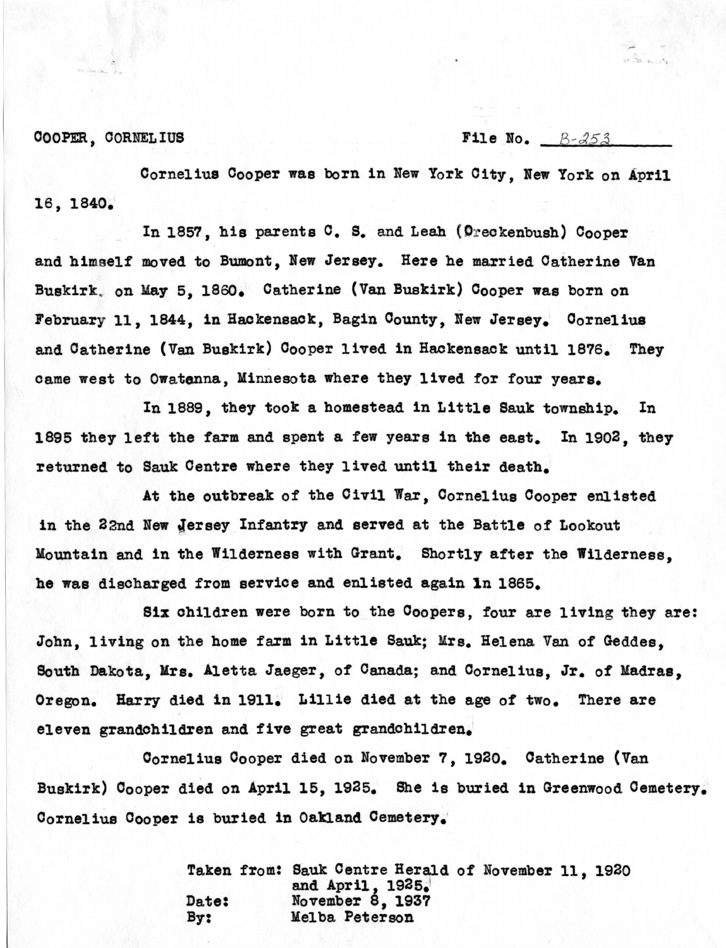COOPER, CORNELIUS File No.  $B-\lambda 5\lambda$ 

Cornelius Cooper was born in New York City, Wew York on April 16, 1840.·

In 1857, his parents C. S. and Leah (Oreckenbush) Cooper and himself moved to Bumont, New Jersey. Here he married Catherine Van Buskirk, on May 5, 1860. Catherine (Van Buskirk) Cooper was born on February 11, 1844, in Hackensack, Bagin County, New Jersey. Cornelius and Catherine (Van Buskirk) Cooper lived in Hackensack until 1876. They came west to Owatanna, Minnesota where they lived for four years.

In 1889, they took a homestead in Little Sauk township. In 1895 they left the farm and spent a few years in the east. In 1902, they returned to Sauk Centre where they lived until their death.:

At the outbreak of the Oivil War, Cornelius Cooper enlisted in the 22nd New Jersey Infantry and served at the Battle of Lookout Mountain and in the Wilderness with Grant. Shortly after the Wilderness. **he was** discharged from service and enlisted again ln 1865.

Six children were born to the Coopers, four are living they are: John, living on the home farm in Little Sauk; Mrs. Helena Van of Geddes, South Dakota, Mrs. Aletta Jaeger, of Canada; and Cornelius, Jr. of Madras, Oregon. Harry died in 1911. Lillie died at the age of two. There are eleven grandchildren and five great grandchildren.

Oornelius Oooper died on November 7, 1920. Oatherine (Van Buskirk) Cooper died on April 15, 1925. She is buried in Greenwood Cemetery. Cornelius Cooper is buried in Oakland Cemetery.

> Taken from: Sauk Centre Herald of November 11, 1920 and April,  $1935.1$ Date: November 8, 1937<br>By: Melba Peterson Melba Peterson